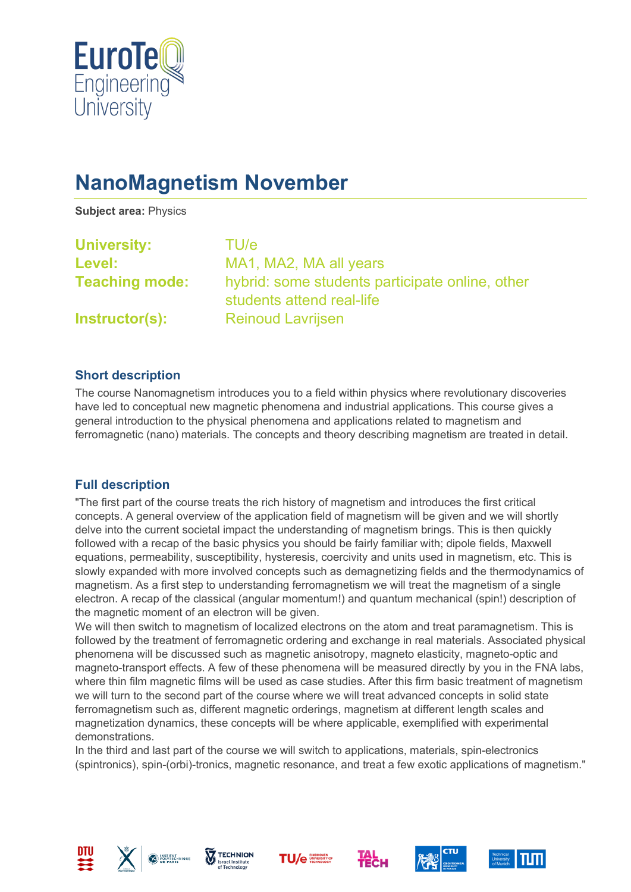

# **NanoMagnetism November**

**Subject area:** Physics

| <b>University:</b>    | TU/e                                                                         |
|-----------------------|------------------------------------------------------------------------------|
| Level:                | MA1, MA2, MA all years                                                       |
| <b>Teaching mode:</b> | hybrid: some students participate online, other<br>students attend real-life |
| Instructor(s):        | <b>Reinoud Lavrijsen</b>                                                     |

#### **Short description**

The course Nanomagnetism introduces you to a field within physics where revolutionary discoveries have led to conceptual new magnetic phenomena and industrial applications. This course gives a general introduction to the physical phenomena and applications related to magnetism and ferromagnetic (nano) materials. The concepts and theory describing magnetism are treated in detail.

## **Full description**

"The first part of the course treats the rich history of magnetism and introduces the first critical concepts. A general overview of the application field of magnetism will be given and we will shortly delve into the current societal impact the understanding of magnetism brings. This is then quickly followed with a recap of the basic physics you should be fairly familiar with; dipole fields, Maxwell equations, permeability, susceptibility, hysteresis, coercivity and units used in magnetism, etc. This is slowly expanded with more involved concepts such as demagnetizing fields and the thermodynamics of magnetism. As a first step to understanding ferromagnetism we will treat the magnetism of a single electron. A recap of the classical (angular momentum!) and quantum mechanical (spin!) description of the magnetic moment of an electron will be given.

We will then switch to magnetism of localized electrons on the atom and treat paramagnetism. This is followed by the treatment of ferromagnetic ordering and exchange in real materials. Associated physical phenomena will be discussed such as magnetic anisotropy, magneto elasticity, magneto-optic and magneto-transport effects. A few of these phenomena will be measured directly by you in the FNA labs, where thin film magnetic films will be used as case studies. After this firm basic treatment of magnetism we will turn to the second part of the course where we will treat advanced concepts in solid state ferromagnetism such as, different magnetic orderings, magnetism at different length scales and magnetization dynamics, these concepts will be where applicable, exemplified with experimental demonstrations.

In the third and last part of the course we will switch to applications, materials, spin-electronics (spintronics), spin-(orbi)-tronics, magnetic resonance, and treat a few exotic applications of magnetism."













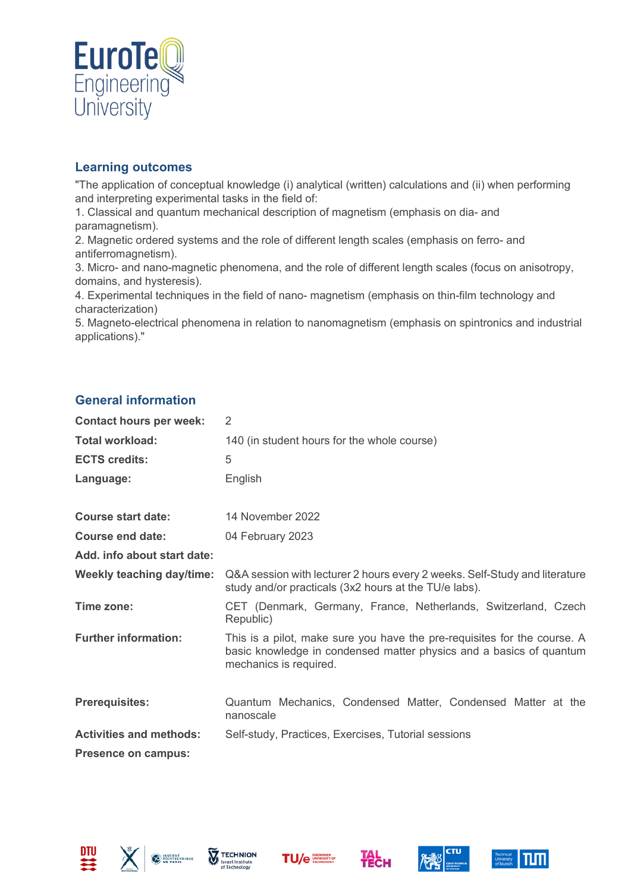

### **Learning outcomes**

"The application of conceptual knowledge (i) analytical (written) calculations and (ii) when performing and interpreting experimental tasks in the field of:

1. Classical and quantum mechanical description of magnetism (emphasis on dia- and paramagnetism).

2. Magnetic ordered systems and the role of different length scales (emphasis on ferro- and antiferromagnetism).

3. Micro- and nano-magnetic phenomena, and the role of different length scales (focus on anisotropy, domains, and hysteresis).

4. Experimental techniques in the field of nano- magnetism (emphasis on thin-film technology and characterization)

5. Magneto-electrical phenomena in relation to nanomagnetism (emphasis on spintronics and industrial applications)."

# **General information**

| <b>Contact hours per week:</b>   | 2                                                                                                                                                                         |
|----------------------------------|---------------------------------------------------------------------------------------------------------------------------------------------------------------------------|
| <b>Total workload:</b>           | 140 (in student hours for the whole course)                                                                                                                               |
| <b>ECTS credits:</b>             | 5                                                                                                                                                                         |
| Language:                        | English                                                                                                                                                                   |
| <b>Course start date:</b>        | 14 November 2022                                                                                                                                                          |
| Course end date:                 | 04 February 2023                                                                                                                                                          |
| Add. info about start date:      |                                                                                                                                                                           |
| <b>Weekly teaching day/time:</b> | Q&A session with lecturer 2 hours every 2 weeks. Self-Study and literature<br>study and/or practicals (3x2 hours at the TU/e labs).                                       |
| Time zone:                       | CET (Denmark, Germany, France, Netherlands, Switzerland, Czech<br>Republic)                                                                                               |
| <b>Further information:</b>      | This is a pilot, make sure you have the pre-requisites for the course. A<br>basic knowledge in condensed matter physics and a basics of quantum<br>mechanics is required. |
| <b>Prerequisites:</b>            | Quantum Mechanics, Condensed Matter, Condensed Matter at the<br>nanoscale                                                                                                 |
| <b>Activities and methods:</b>   | Self-study, Practices, Exercises, Tutorial sessions                                                                                                                       |
| <b>Presence on campus:</b>       |                                                                                                                                                                           |











**Тесн**